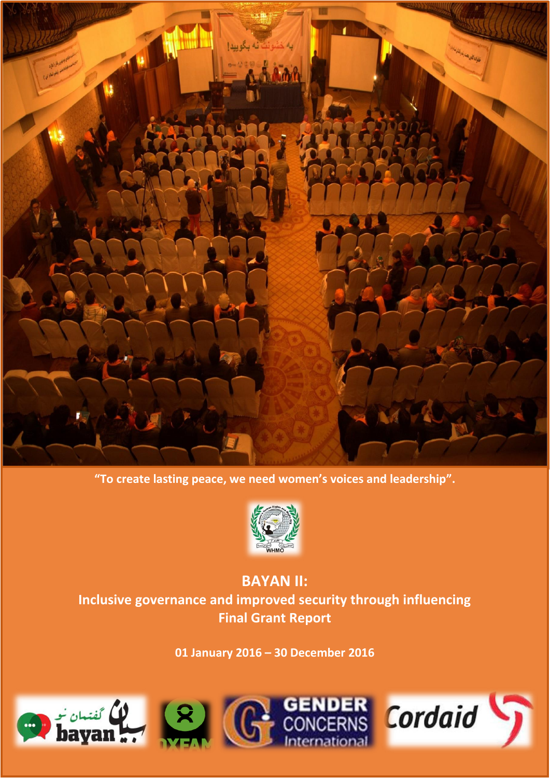

**"To create lasting peace, we need women's voices and leadership".**



## **BAYAN II:**

**Inclusive governance and improved security through influencing Final Grant Report** 

**01 January 2016 – 30 December 2016**





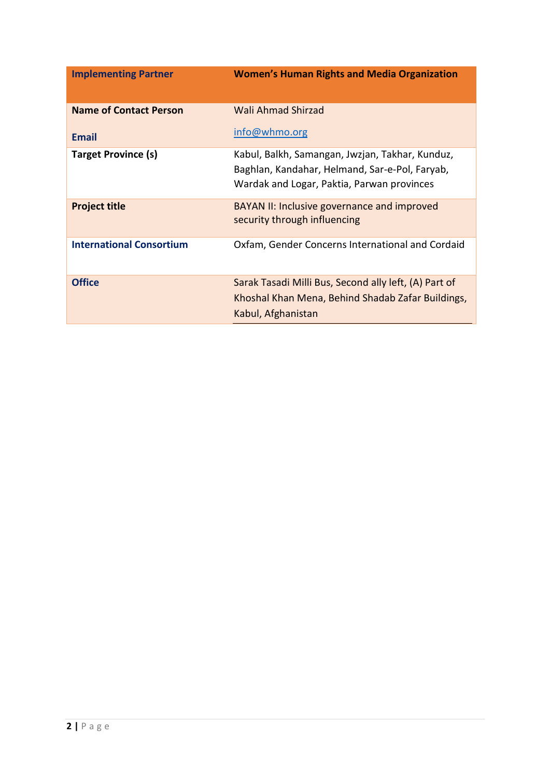| <b>Implementing Partner</b>                   | <b>Women's Human Rights and Media Organization</b>                                                                                              |
|-----------------------------------------------|-------------------------------------------------------------------------------------------------------------------------------------------------|
| <b>Name of Contact Person</b><br><b>Email</b> | Wali Ahmad Shirzad<br>info@whmo.org                                                                                                             |
| <b>Target Province (s)</b>                    | Kabul, Balkh, Samangan, Jwzjan, Takhar, Kunduz,<br>Baghlan, Kandahar, Helmand, Sar-e-Pol, Faryab,<br>Wardak and Logar, Paktia, Parwan provinces |
| <b>Project title</b>                          | <b>BAYAN II: Inclusive governance and improved</b><br>security through influencing                                                              |
| <b>International Consortium</b>               | Oxfam, Gender Concerns International and Cordaid                                                                                                |
| <b>Office</b>                                 | Sarak Tasadi Milli Bus, Second ally left, (A) Part of<br>Khoshal Khan Mena, Behind Shadab Zafar Buildings,<br>Kabul, Afghanistan                |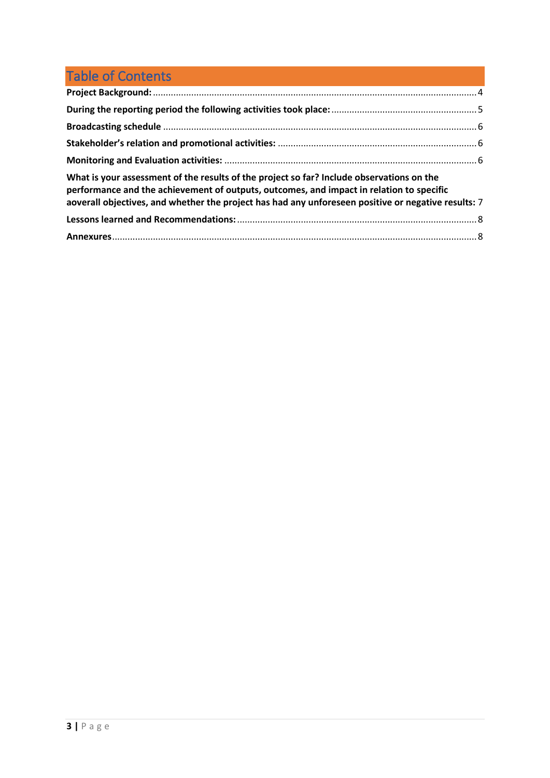# Table of Contents

| What is your assessment of the results of the project so far? Include observations on the<br>performance and the achievement of outputs, outcomes, and impact in relation to specific<br>aoverall objectives, and whether the project has had any unforeseen positive or negative results: 7 |  |
|----------------------------------------------------------------------------------------------------------------------------------------------------------------------------------------------------------------------------------------------------------------------------------------------|--|
|                                                                                                                                                                                                                                                                                              |  |
|                                                                                                                                                                                                                                                                                              |  |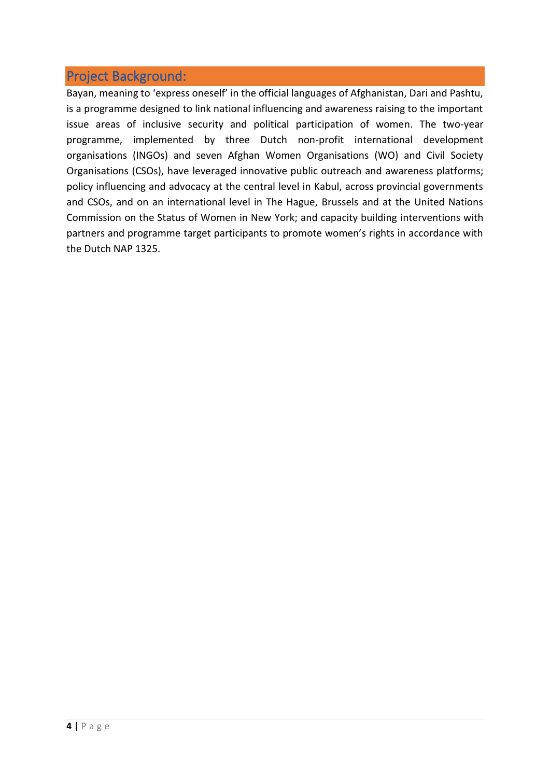## <span id="page-3-0"></span>Project Background:

Bayan, meaning to 'express oneself' in the official languages of Afghanistan, Dari and Pashtu, is a programme designed to link national influencing and awareness raising to the important issue areas of inclusive security and political participation of women. The two-year programme, implemented by three Dutch non-profit international development organisations (INGOs) and seven Afghan Women Organisations (WO) and Civil Society Organisations (CSOs), have leveraged innovative public outreach and awareness platforms; policy influencing and advocacy at the central level in Kabul, across provincial governments and CSOs, and on an international level in The Hague, Brussels and at the United Nations Commission on the Status of Women in New York; and capacity building interventions with partners and programme target participants to promote women's rights in accordance with the Dutch NAP 1325.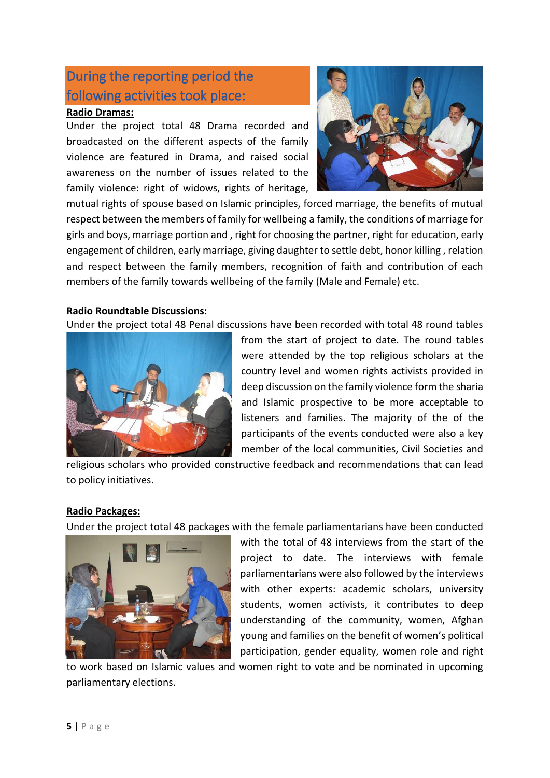## <span id="page-4-0"></span>During the reporting period the following activities took place:

#### **Radio Dramas:**

Under the project total 48 Drama recorded and broadcasted on the different aspects of the family violence are featured in Drama, and raised social awareness on the number of issues related to the family violence: right of widows, rights of heritage,



mutual rights of spouse based on Islamic principles, forced marriage, the benefits of mutual respect between the members of family for wellbeing a family, the conditions of marriage for girls and boys, marriage portion and , right for choosing the partner, right for education, early engagement of children, early marriage, giving daughter to settle debt, honor killing , relation and respect between the family members, recognition of faith and contribution of each members of the family towards wellbeing of the family (Male and Female) etc.

#### **Radio Roundtable Discussions:**

Under the project total 48 Penal discussions have been recorded with total 48 round tables



from the start of project to date. The round tables were attended by the top religious scholars at the country level and women rights activists provided in deep discussion on the family violence form the sharia and Islamic prospective to be more acceptable to listeners and families. The majority of the of the participants of the events conducted were also a key member of the local communities, Civil Societies and

religious scholars who provided constructive feedback and recommendations that can lead to policy initiatives.

#### **Radio Packages:**

Under the project total 48 packages with the female parliamentarians have been conducted



with the total of 48 interviews from the start of the project to date. The interviews with female parliamentarians were also followed by the interviews with other experts: academic scholars, university students, women activists, it contributes to deep understanding of the community, women, Afghan young and families on the benefit of women's political participation, gender equality, women role and right

to work based on Islamic values and women right to vote and be nominated in upcoming parliamentary elections.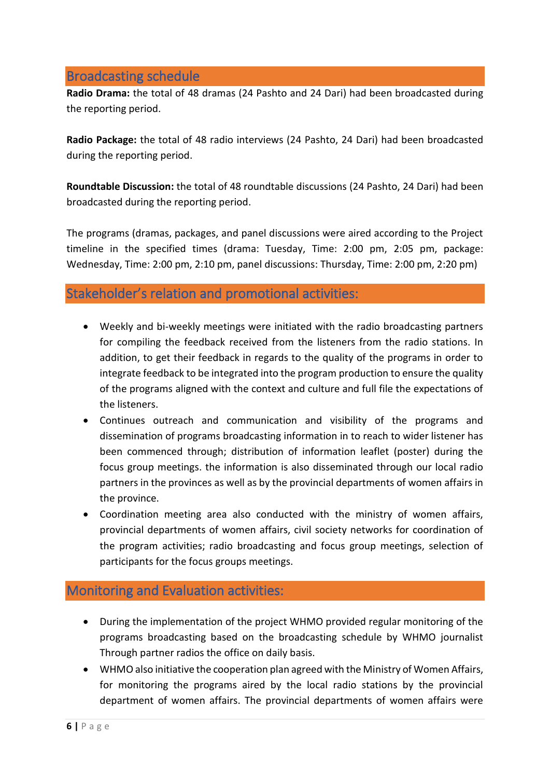## <span id="page-5-0"></span>Broadcasting schedule

**Radio Drama:** the total of 48 dramas (24 Pashto and 24 Dari) had been broadcasted during the reporting period.

**Radio Package:** the total of 48 radio interviews (24 Pashto, 24 Dari) had been broadcasted during the reporting period.

**Roundtable Discussion:** the total of 48 roundtable discussions (24 Pashto, 24 Dari) had been broadcasted during the reporting period.

The programs (dramas, packages, and panel discussions were aired according to the Project timeline in the specified times (drama: Tuesday, Time: 2:00 pm, 2:05 pm, package: Wednesday, Time: 2:00 pm, 2:10 pm, panel discussions: Thursday, Time: 2:00 pm, 2:20 pm)

## <span id="page-5-1"></span>Stakeholder's relation and promotional activities:

- Weekly and bi-weekly meetings were initiated with the radio broadcasting partners for compiling the feedback received from the listeners from the radio stations. In addition, to get their feedback in regards to the quality of the programs in order to integrate feedback to be integrated into the program production to ensure the quality of the programs aligned with the context and culture and full file the expectations of the listeners.
- Continues outreach and communication and visibility of the programs and dissemination of programs broadcasting information in to reach to wider listener has been commenced through; distribution of information leaflet (poster) during the focus group meetings. the information is also disseminated through our local radio partners in the provinces as well as by the provincial departments of women affairs in the province.
- Coordination meeting area also conducted with the ministry of women affairs, provincial departments of women affairs, civil society networks for coordination of the program activities; radio broadcasting and focus group meetings, selection of participants for the focus groups meetings.

### <span id="page-5-2"></span>Monitoring and Evaluation activities:

- During the implementation of the project WHMO provided regular monitoring of the programs broadcasting based on the broadcasting schedule by WHMO journalist Through partner radios the office on daily basis.
- WHMO also initiative the cooperation plan agreed with the Ministry of Women Affairs, for monitoring the programs aired by the local radio stations by the provincial department of women affairs. The provincial departments of women affairs were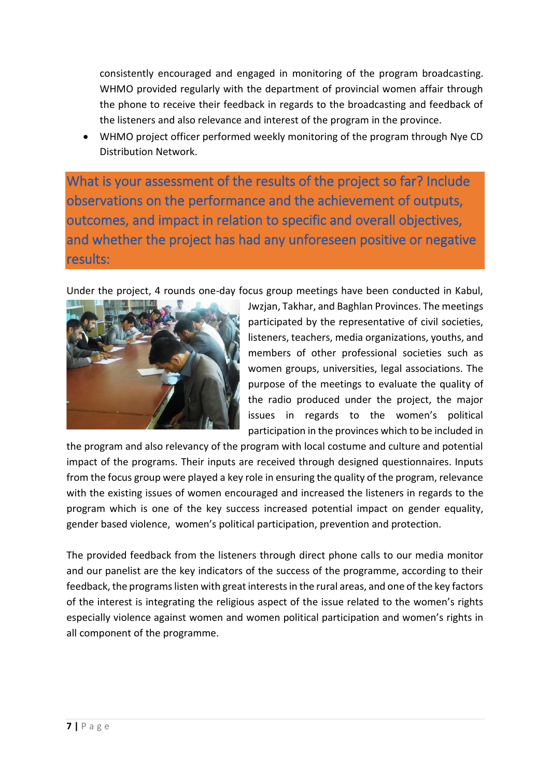consistently encouraged and engaged in monitoring of the program broadcasting. WHMO provided regularly with the department of provincial women affair through the phone to receive their feedback in regards to the broadcasting and feedback of the listeners and also relevance and interest of the program in the province.

• WHMO project officer performed weekly monitoring of the program through Nye CD Distribution Network.

<span id="page-6-0"></span>What is your assessment of the results of the project so far? Include observations on the performance and the achievement of outputs, outcomes, and impact in relation to specific and overall objectives, and whether the project has had any unforeseen positive or negative results:

Under the project, 4 rounds one-day focus group meetings have been conducted in Kabul,



Jwzjan, Takhar, and Baghlan Provinces. The meetings participated by the representative of civil societies, listeners, teachers, media organizations, youths, and members of other professional societies such as women groups, universities, legal associations. The purpose of the meetings to evaluate the quality of the radio produced under the project, the major issues in regards to the women's political participation in the provinces which to be included in

the program and also relevancy of the program with local costume and culture and potential impact of the programs. Their inputs are received through designed questionnaires. Inputs from the focus group were played a key role in ensuring the quality of the program, relevance with the existing issues of women encouraged and increased the listeners in regards to the program which is one of the key success increased potential impact on gender equality, gender based violence, women's political participation, prevention and protection.

The provided feedback from the listeners through direct phone calls to our media monitor and our panelist are the key indicators of the success of the programme, according to their feedback, the programs listen with great interests in the rural areas, and one of the key factors of the interest is integrating the religious aspect of the issue related to the women's rights especially violence against women and women political participation and women's rights in all component of the programme.